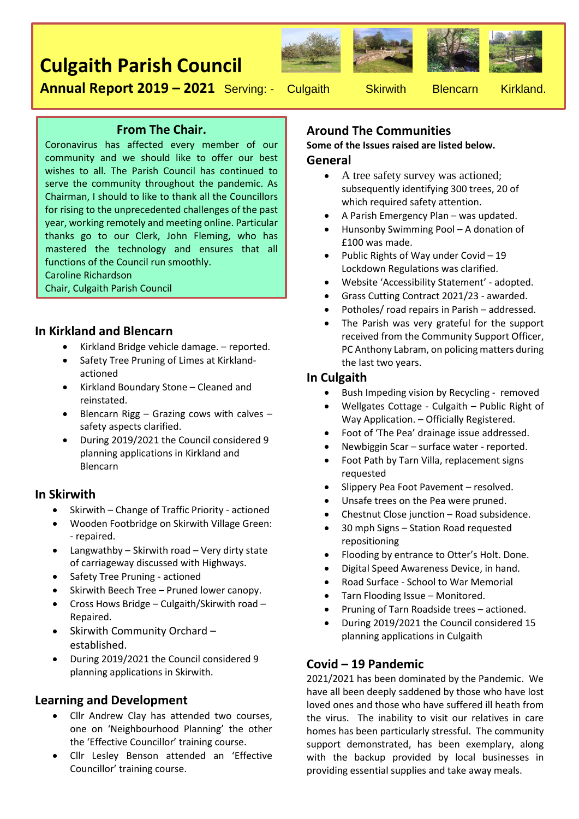# **Culgaith Parish Council**









**Annual Report 2019 - 2021** Serving: - Culgaith Skirwith Blencarn Kirkland.

## **From The Chair.**

Coronavirus has affected every member of our community and we should like to offer our best wishes to all. The Parish Council has continued to serve the community throughout the pandemic. As Chairman, I should to like to thank all the Councillors for rising to the unprecedented challenges of the past year, working remotely and meeting online. Particular thanks go to our Clerk, John Fleming, who has mastered the technology and ensures that all functions of the Council run smoothly.

Caroline Richardson

Chair, Culgaith Parish Council

### **In Kirkland and Blencarn**

- Kirkland Bridge vehicle damage. reported.
- Safety Tree Pruning of Limes at Kirklandactioned
- Kirkland Boundary Stone Cleaned and reinstated.
- Blencarn Rigg Grazing cows with calves safety aspects clarified.
- During 2019/2021 the Council considered 9 planning applications in Kirkland and Blencarn

### **In Skirwith**

- Skirwith Change of Traffic Priority actioned
- Wooden Footbridge on Skirwith Village Green: - repaired.
- Langwathby Skirwith road Very dirty state of carriageway discussed with Highways.
- Safety Tree Pruning actioned
- Skirwith Beech Tree Pruned lower canopy.
- Cross Hows Bridge Culgaith/Skirwith road Repaired.
- Skirwith Community Orchard established.
- During 2019/2021 the Council considered 9 planning applications in Skirwith.

## **Learning and Development**

- Cllr Andrew Clay has attended two courses, one on 'Neighbourhood Planning' the other the 'Effective Councillor' training course.
- Cllr Lesley Benson attended an 'Effective Councillor' training course.

# **Around The Communities**

**Some of the Issues raised are listed below. General**

- A tree safety survey was actioned; subsequently identifying 300 trees, 20 of which required safety attention.
- A Parish Emergency Plan was updated.
- Hunsonby Swimming Pool A donation of £100 was made.
- Public Rights of Way under Covid 19 Lockdown Regulations was clarified.
- Website 'Accessibility Statement' adopted.
- Grass Cutting Contract 2021/23 awarded.
- Potholes/ road repairs in Parish addressed.
- The Parish was very grateful for the support received from the Community Support Officer, PC Anthony Labram, on policing matters during the last two years.

## **In Culgaith**

- Bush Impeding vision by Recycling removed
- Wellgates Cottage Culgaith Public Right of Way Application. – Officially Registered.
- Foot of 'The Pea' drainage issue addressed.
- Newbiggin Scar surface water reported.
- Foot Path by Tarn Villa, replacement signs requested
- Slippery Pea Foot Pavement resolved.
- Unsafe trees on the Pea were pruned.
- Chestnut Close junction Road subsidence.
- 30 mph Signs Station Road requested repositioning
- Flooding by entrance to Otter's Holt. Done.
- Digital Speed Awareness Device, in hand.
- Road Surface School to War Memorial
- Tarn Flooding Issue Monitored.
- Pruning of Tarn Roadside trees actioned.
- During 2019/2021 the Council considered 15 planning applications in Culgaith

## **Covid – 19 Pandemic**

2021/2021 has been dominated by the Pandemic. We have all been deeply saddened by those who have lost loved ones and those who have suffered ill heath from the virus. The inability to visit our relatives in care homes has been particularly stressful. The community support demonstrated, has been exemplary, along with the backup provided by local businesses in providing essential supplies and take away meals.